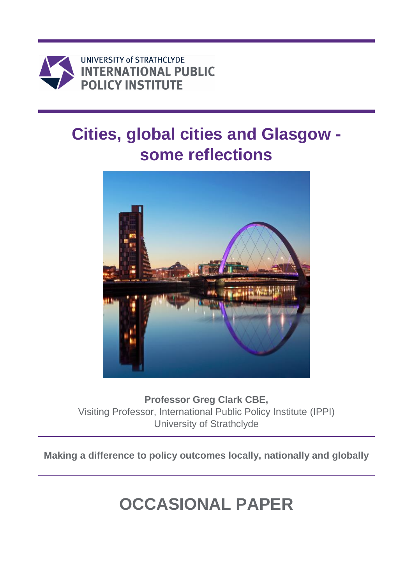

# **Cities, global cities and Glasgow some reflections**



**Professor Greg Clark CBE,**  Visiting Professor, International Public Policy Institute (IPPI) University of Strathclyde

**Making a difference to policy outcomes locally, nationally and globally**

# **OCCASIONAL PAPER**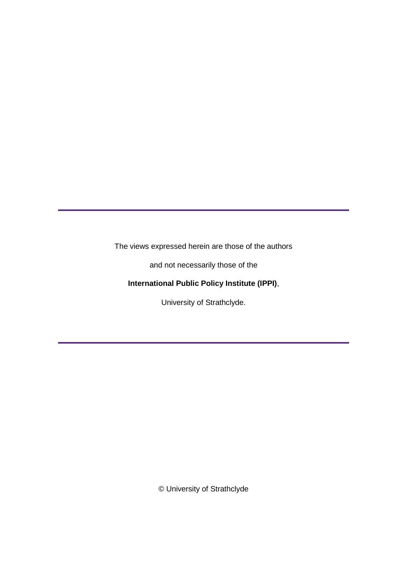The views expressed herein are those of the authors

and not necessarily those of the

# **International Public Policy Institute (IPPI)**,

University of Strathclyde.

© University of Strathclyde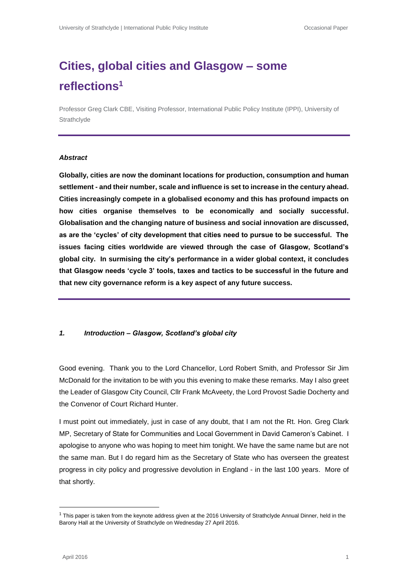# **Cities, global cities and Glasgow – some reflections<sup>1</sup>**

Professor Greg Clark CBE, Visiting Professor, International Public Policy Institute (IPPI), University of **Strathclyde** 

#### *Abstract*

**Globally, cities are now the dominant locations for production, consumption and human settlement - and their number, scale and influence is set to increase in the century ahead. Cities increasingly compete in a globalised economy and this has profound impacts on how cities organise themselves to be economically and socially successful. Globalisation and the changing nature of business and social innovation are discussed, as are the 'cycles' of city development that cities need to pursue to be successful. The issues facing cities worldwide are viewed through the case of Glasgow, Scotland's global city. In surmising the city's performance in a wider global context, it concludes that Glasgow needs 'cycle 3' tools, taxes and tactics to be successful in the future and that new city governance reform is a key aspect of any future success.**

#### *1. Introduction – Glasgow, Scotland's global city*

Good evening. Thank you to the Lord Chancellor, Lord Robert Smith, and Professor Sir Jim McDonald for the invitation to be with you this evening to make these remarks. May I also greet the Leader of Glasgow City Council, Cllr Frank McAveety, the Lord Provost Sadie Docherty and the Convenor of Court Richard Hunter.

I must point out immediately, just in case of any doubt, that I am not the Rt. Hon. Greg Clark MP, Secretary of State for Communities and Local Government in David Cameron's Cabinet. I apologise to anyone who was hoping to meet him tonight. We have the same name but are not the same man. But I do regard him as the Secretary of State who has overseen the greatest progress in city policy and progressive devolution in England - in the last 100 years. More of that shortly.

 $\overline{\phantom{a}}$ 

 $1$  This paper is taken from the keynote address given at the 2016 University of Strathclyde Annual Dinner, held in the Barony Hall at the University of Strathclyde on Wednesday 27 April 2016.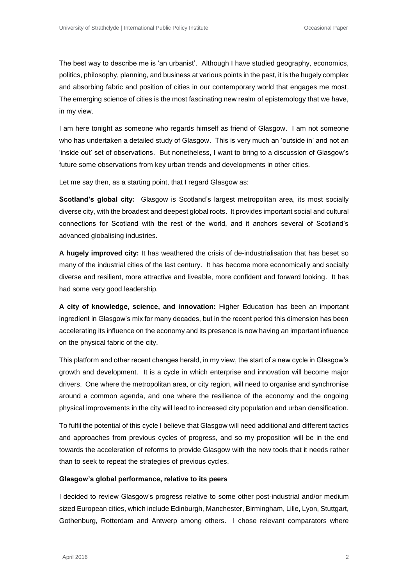The best way to describe me is 'an urbanist'. Although I have studied geography, economics, politics, philosophy, planning, and business at various points in the past, it is the hugely complex and absorbing fabric and position of cities in our contemporary world that engages me most. The emerging science of cities is the most fascinating new realm of epistemology that we have, in my view.

I am here tonight as someone who regards himself as friend of Glasgow. I am not someone who has undertaken a detailed study of Glasgow. This is very much an 'outside in' and not an 'inside out' set of observations. But nonetheless, I want to bring to a discussion of Glasgow's future some observations from key urban trends and developments in other cities.

Let me say then, as a starting point, that I regard Glasgow as:

**Scotland's global city:** Glasgow is Scotland's largest metropolitan area, its most socially diverse city, with the broadest and deepest global roots. It provides important social and cultural connections for Scotland with the rest of the world, and it anchors several of Scotland's advanced globalising industries.

**A hugely improved city:** It has weathered the crisis of de-industrialisation that has beset so many of the industrial cities of the last century. It has become more economically and socially diverse and resilient, more attractive and liveable, more confident and forward looking. It has had some very good leadership.

**A city of knowledge, science, and innovation:** Higher Education has been an important ingredient in Glasgow's mix for many decades, but in the recent period this dimension has been accelerating its influence on the economy and its presence is now having an important influence on the physical fabric of the city.

This platform and other recent changes herald, in my view, the start of a new cycle in Glasgow's growth and development. It is a cycle in which enterprise and innovation will become major drivers. One where the metropolitan area, or city region, will need to organise and synchronise around a common agenda, and one where the resilience of the economy and the ongoing physical improvements in the city will lead to increased city population and urban densification.

To fulfil the potential of this cycle I believe that Glasgow will need additional and different tactics and approaches from previous cycles of progress, and so my proposition will be in the end towards the acceleration of reforms to provide Glasgow with the new tools that it needs rather than to seek to repeat the strategies of previous cycles.

#### **Glasgow's global performance, relative to its peers**

I decided to review Glasgow's progress relative to some other post-industrial and/or medium sized European cities, which include Edinburgh, Manchester, Birmingham, Lille, Lyon, Stuttgart, Gothenburg, Rotterdam and Antwerp among others. I chose relevant comparators where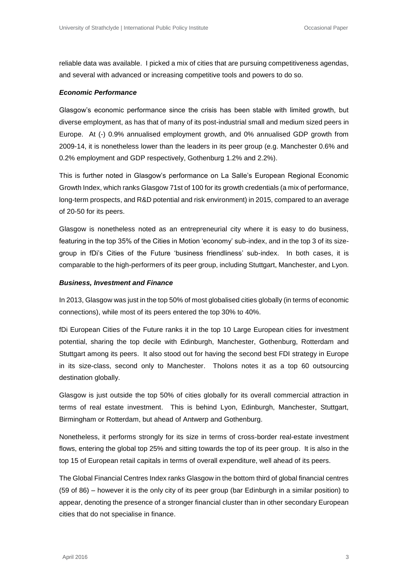reliable data was available. I picked a mix of cities that are pursuing competitiveness agendas, and several with advanced or increasing competitive tools and powers to do so.

#### *Economic Performance*

Glasgow's economic performance since the crisis has been stable with limited growth, but diverse employment, as has that of many of its post-industrial small and medium sized peers in Europe. At (-) 0.9% annualised employment growth, and 0% annualised GDP growth from 2009-14, it is nonetheless lower than the leaders in its peer group (e.g. Manchester 0.6% and 0.2% employment and GDP respectively, Gothenburg 1.2% and 2.2%).

This is further noted in Glasgow's performance on La Salle's European Regional Economic Growth Index, which ranks Glasgow 71st of 100 for its growth credentials (a mix of performance, long-term prospects, and R&D potential and risk environment) in 2015, compared to an average of 20-50 for its peers.

Glasgow is nonetheless noted as an entrepreneurial city where it is easy to do business, featuring in the top 35% of the Cities in Motion 'economy' sub-index, and in the top 3 of its sizegroup in fDi's Cities of the Future 'business friendliness' sub-index. In both cases, it is comparable to the high-performers of its peer group, including Stuttgart, Manchester, and Lyon.

#### *Business, Investment and Finance*

In 2013, Glasgow was just in the top 50% of most globalised cities globally (in terms of economic connections), while most of its peers entered the top 30% to 40%.

fDi European Cities of the Future ranks it in the top 10 Large European cities for investment potential, sharing the top decile with Edinburgh, Manchester, Gothenburg, Rotterdam and Stuttgart among its peers. It also stood out for having the second best FDI strategy in Europe in its size-class, second only to Manchester. Tholons notes it as a top 60 outsourcing destination globally.

Glasgow is just outside the top 50% of cities globally for its overall commercial attraction in terms of real estate investment. This is behind Lyon, Edinburgh, Manchester, Stuttgart, Birmingham or Rotterdam, but ahead of Antwerp and Gothenburg.

Nonetheless, it performs strongly for its size in terms of cross-border real-estate investment flows, entering the global top 25% and sitting towards the top of its peer group. It is also in the top 15 of European retail capitals in terms of overall expenditure, well ahead of its peers.

The Global Financial Centres Index ranks Glasgow in the bottom third of global financial centres (59 of 86) – however it is the only city of its peer group (bar Edinburgh in a similar position) to appear, denoting the presence of a stronger financial cluster than in other secondary European cities that do not specialise in finance.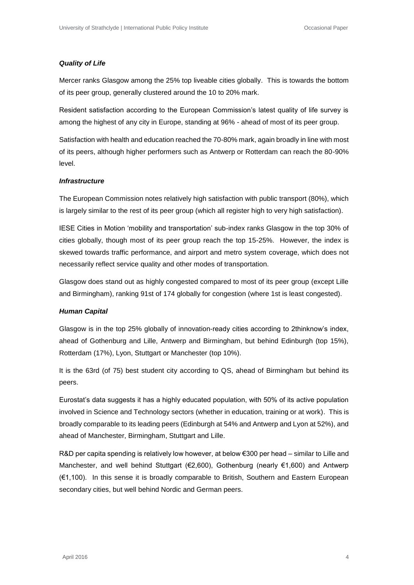#### *Quality of Life*

Mercer ranks Glasgow among the 25% top liveable cities globally. This is towards the bottom of its peer group, generally clustered around the 10 to 20% mark.

Resident satisfaction according to the European Commission's latest quality of life survey is among the highest of any city in Europe, standing at 96% - ahead of most of its peer group.

Satisfaction with health and education reached the 70-80% mark, again broadly in line with most of its peers, although higher performers such as Antwerp or Rotterdam can reach the 80-90% level.

#### *Infrastructure*

The European Commission notes relatively high satisfaction with public transport (80%), which is largely similar to the rest of its peer group (which all register high to very high satisfaction).

IESE Cities in Motion 'mobility and transportation' sub-index ranks Glasgow in the top 30% of cities globally, though most of its peer group reach the top 15-25%. However, the index is skewed towards traffic performance, and airport and metro system coverage, which does not necessarily reflect service quality and other modes of transportation.

Glasgow does stand out as highly congested compared to most of its peer group (except Lille and Birmingham), ranking 91st of 174 globally for congestion (where 1st is least congested).

#### *Human Capital*

Glasgow is in the top 25% globally of innovation-ready cities according to 2thinknow's index, ahead of Gothenburg and Lille, Antwerp and Birmingham, but behind Edinburgh (top 15%), Rotterdam (17%), Lyon, Stuttgart or Manchester (top 10%).

It is the 63rd (of 75) best student city according to QS, ahead of Birmingham but behind its peers.

Eurostat's data suggests it has a highly educated population, with 50% of its active population involved in Science and Technology sectors (whether in education, training or at work). This is broadly comparable to its leading peers (Edinburgh at 54% and Antwerp and Lyon at 52%), and ahead of Manchester, Birmingham, Stuttgart and Lille.

R&D per capita spending is relatively low however, at below €300 per head – similar to Lille and Manchester, and well behind Stuttgart (€2,600), Gothenburg (nearly €1,600) and Antwerp (€1,100). In this sense it is broadly comparable to British, Southern and Eastern European secondary cities, but well behind Nordic and German peers.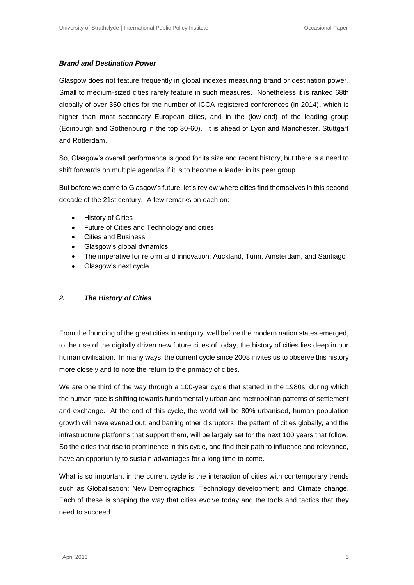#### *Brand and Destination Power*

Glasgow does not feature frequently in global indexes measuring brand or destination power. Small to medium-sized cities rarely feature in such measures. Nonetheless it is ranked 68th globally of over 350 cities for the number of ICCA registered conferences (in 2014), which is higher than most secondary European cities, and in the (low-end) of the leading group (Edinburgh and Gothenburg in the top 30-60). It is ahead of Lyon and Manchester, Stuttgart and Rotterdam.

So, Glasgow's overall performance is good for its size and recent history, but there is a need to shift forwards on multiple agendas if it is to become a leader in its peer group.

But before we come to Glasgow's future, let's review where cities find themselves in this second decade of the 21st century. A few remarks on each on:

- History of Cities
- Future of Cities and Technology and cities
- Cities and Business
- Glasgow's global dynamics
- The imperative for reform and innovation: Auckland, Turin, Amsterdam, and Santiago
- Glasgow's next cycle

### *2. The History of Cities*

From the founding of the great cities in antiquity, well before the modern nation states emerged, to the rise of the digitally driven new future cities of today, the history of cities lies deep in our human civilisation. In many ways, the current cycle since 2008 invites us to observe this history more closely and to note the return to the primacy of cities.

We are one third of the way through a 100-year cycle that started in the 1980s, during which the human race is shifting towards fundamentally urban and metropolitan patterns of settlement and exchange. At the end of this cycle, the world will be 80% urbanised, human population growth will have evened out, and barring other disruptors, the pattern of cities globally, and the infrastructure platforms that support them, will be largely set for the next 100 years that follow. So the cities that rise to prominence in this cycle, and find their path to influence and relevance, have an opportunity to sustain advantages for a long time to come.

What is so important in the current cycle is the interaction of cities with contemporary trends such as Globalisation; New Demographics; Technology development; and Climate change. Each of these is shaping the way that cities evolve today and the tools and tactics that they need to succeed.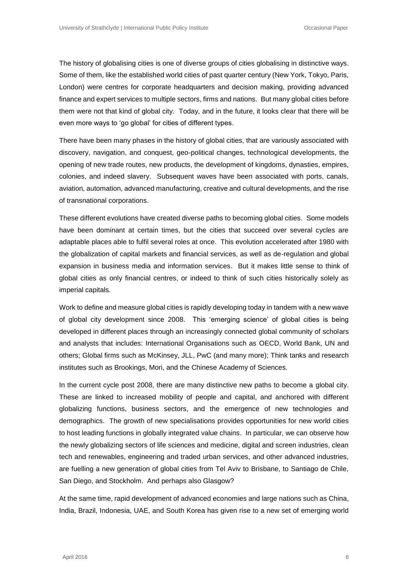The history of globalising cities is one of diverse groups of cities globalising in distinctive ways. Some of them, like the established world cities of past quarter century (New York, Tokyo, Paris, London) were centres for corporate headquarters and decision making, providing advanced finance and expert services to multiple sectors, firms and nations. But many global cities before them were not that kind of global city. Today, and in the future, it looks clear that there will be even more ways to 'go global' for cities of different types.

There have been many phases in the history of global cities, that are variously associated with discovery, navigation, and conquest, geo-political changes, technological developments, the opening of new trade routes, new products, the development of kingdoms, dynasties, empires, colonies, and indeed slavery. Subsequent waves have been associated with ports, canals, aviation, automation, advanced manufacturing, creative and cultural developments, and the rise of transnational corporations.

These different evolutions have created diverse paths to becoming global cities. Some models have been dominant at certain times, but the cities that succeed over several cycles are adaptable places able to fulfil several roles at once. This evolution accelerated after 1980 with the globalization of capital markets and financial services, as well as de-regulation and global expansion in business media and information services. But it makes little sense to think of global cities as only financial centres, or indeed to think of such cities historically solely as imperial capitals.

Work to define and measure global cities is rapidly developing today in tandem with a new wave of global city development since 2008. This 'emerging science' of global cities is being developed in different places through an increasingly connected global community of scholars and analysts that includes: International Organisations such as OECD, World Bank, UN and others; Global firms such as McKinsey, JLL, PwC (and many more); Think tanks and research institutes such as Brookings, Mori, and the Chinese Academy of Sciences.

In the current cycle post 2008, there are many distinctive new paths to become a global city. These are linked to increased mobility of people and capital, and anchored with different globalizing functions, business sectors, and the emergence of new technologies and demographics. The growth of new specialisations provides opportunities for new world cities to host leading functions in globally integrated value chains. In particular, we can observe how the newly globalizing sectors of life sciences and medicine, digital and screen industries, clean tech and renewables, engineering and traded urban services, and other advanced industries, are fuelling a new generation of global cities from Tel Aviv to Brisbane, to Santiago de Chile, San Diego, and Stockholm. And perhaps also Glasgow?

At the same time, rapid development of advanced economies and large nations such as China, India, Brazil, Indonesia, UAE, and South Korea has given rise to a new set of emerging world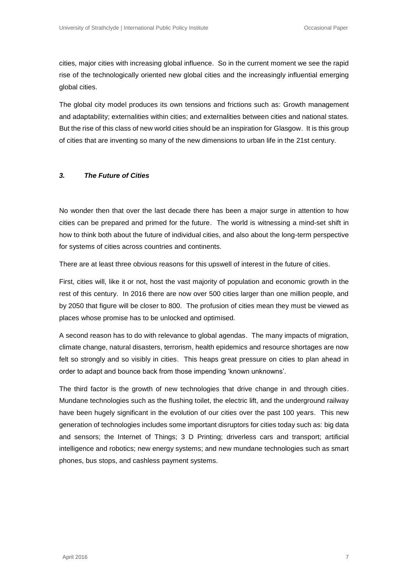cities, major cities with increasing global influence. So in the current moment we see the rapid rise of the technologically oriented new global cities and the increasingly influential emerging global cities.

The global city model produces its own tensions and frictions such as: Growth management and adaptability; externalities within cities; and externalities between cities and national states. But the rise of this class of new world cities should be an inspiration for Glasgow. It is this group of cities that are inventing so many of the new dimensions to urban life in the 21st century.

#### *3. The Future of Cities*

No wonder then that over the last decade there has been a major surge in attention to how cities can be prepared and primed for the future. The world is witnessing a mind-set shift in how to think both about the future of individual cities, and also about the long-term perspective for systems of cities across countries and continents.

There are at least three obvious reasons for this upswell of interest in the future of cities.

First, cities will, like it or not, host the vast majority of population and economic growth in the rest of this century. In 2016 there are now over 500 cities larger than one million people, and by 2050 that figure will be closer to 800. The profusion of cities mean they must be viewed as places whose promise has to be unlocked and optimised.

A second reason has to do with relevance to global agendas. The many impacts of migration, climate change, natural disasters, terrorism, health epidemics and resource shortages are now felt so strongly and so visibly in cities. This heaps great pressure on cities to plan ahead in order to adapt and bounce back from those impending 'known unknowns'.

The third factor is the growth of new technologies that drive change in and through cities. Mundane technologies such as the flushing toilet, the electric lift, and the underground railway have been hugely significant in the evolution of our cities over the past 100 years. This new generation of technologies includes some important disruptors for cities today such as: big data and sensors; the Internet of Things; 3 D Printing; driverless cars and transport; artificial intelligence and robotics; new energy systems; and new mundane technologies such as smart phones, bus stops, and cashless payment systems.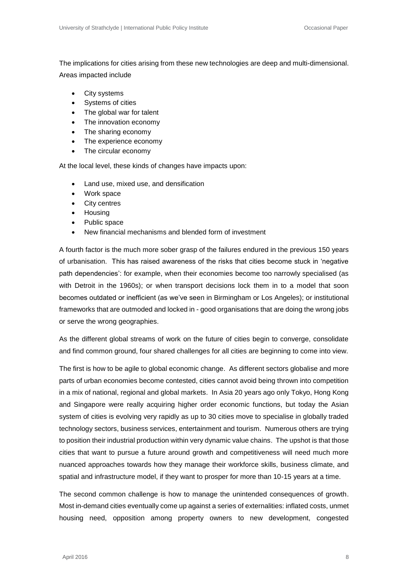The implications for cities arising from these new technologies are deep and multi-dimensional. Areas impacted include

- City systems
- Systems of cities
- The global war for talent
- The innovation economy
- The sharing economy
- The experience economy
- The circular economy

At the local level, these kinds of changes have impacts upon:

- Land use, mixed use, and densification
- Work space
- City centres
- Housing
- Public space
- New financial mechanisms and blended form of investment

A fourth factor is the much more sober grasp of the failures endured in the previous 150 years of urbanisation. This has raised awareness of the risks that cities become stuck in 'negative path dependencies': for example, when their economies become too narrowly specialised (as with Detroit in the 1960s); or when transport decisions lock them in to a model that soon becomes outdated or inefficient (as we've seen in Birmingham or Los Angeles); or institutional frameworks that are outmoded and locked in - good organisations that are doing the wrong jobs or serve the wrong geographies.

As the different global streams of work on the future of cities begin to converge, consolidate and find common ground, four shared challenges for all cities are beginning to come into view.

The first is how to be agile to global economic change. As different sectors globalise and more parts of urban economies become contested, cities cannot avoid being thrown into competition in a mix of national, regional and global markets. In Asia 20 years ago only Tokyo, Hong Kong and Singapore were really acquiring higher order economic functions, but today the Asian system of cities is evolving very rapidly as up to 30 cities move to specialise in globally traded technology sectors, business services, entertainment and tourism. Numerous others are trying to position their industrial production within very dynamic value chains. The upshot is that those cities that want to pursue a future around growth and competitiveness will need much more nuanced approaches towards how they manage their workforce skills, business climate, and spatial and infrastructure model, if they want to prosper for more than 10-15 years at a time.

The second common challenge is how to manage the unintended consequences of growth. Most in-demand cities eventually come up against a series of externalities: inflated costs, unmet housing need, opposition among property owners to new development, congested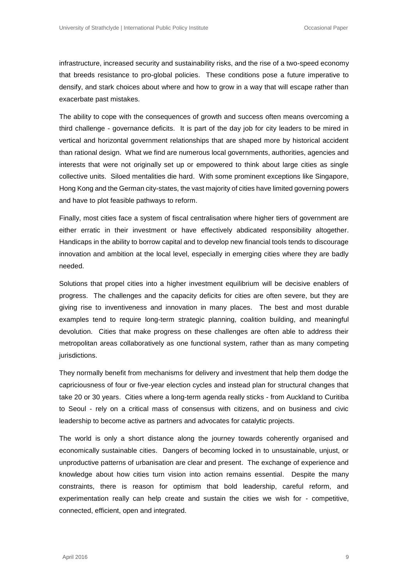infrastructure, increased security and sustainability risks, and the rise of a two-speed economy that breeds resistance to pro-global policies. These conditions pose a future imperative to densify, and stark choices about where and how to grow in a way that will escape rather than exacerbate past mistakes.

The ability to cope with the consequences of growth and success often means overcoming a third challenge - governance deficits. It is part of the day job for city leaders to be mired in vertical and horizontal government relationships that are shaped more by historical accident than rational design. What we find are numerous local governments, authorities, agencies and interests that were not originally set up or empowered to think about large cities as single collective units. Siloed mentalities die hard. With some prominent exceptions like Singapore, Hong Kong and the German city-states, the vast majority of cities have limited governing powers and have to plot feasible pathways to reform.

Finally, most cities face a system of fiscal centralisation where higher tiers of government are either erratic in their investment or have effectively abdicated responsibility altogether. Handicaps in the ability to borrow capital and to develop new financial tools tends to discourage innovation and ambition at the local level, especially in emerging cities where they are badly needed.

Solutions that propel cities into a higher investment equilibrium will be decisive enablers of progress. The challenges and the capacity deficits for cities are often severe, but they are giving rise to inventiveness and innovation in many places. The best and most durable examples tend to require long-term strategic planning, coalition building, and meaningful devolution. Cities that make progress on these challenges are often able to address their metropolitan areas collaboratively as one functional system, rather than as many competing jurisdictions.

They normally benefit from mechanisms for delivery and investment that help them dodge the capriciousness of four or five-year election cycles and instead plan for structural changes that take 20 or 30 years. Cities where a long-term agenda really sticks - from Auckland to Curitiba to Seoul - rely on a critical mass of consensus with citizens, and on business and civic leadership to become active as partners and advocates for catalytic projects.

The world is only a short distance along the journey towards coherently organised and economically sustainable cities. Dangers of becoming locked in to unsustainable, unjust, or unproductive patterns of urbanisation are clear and present. The exchange of experience and knowledge about how cities turn vision into action remains essential. Despite the many constraints, there is reason for optimism that bold leadership, careful reform, and experimentation really can help create and sustain the cities we wish for - competitive, connected, efficient, open and integrated.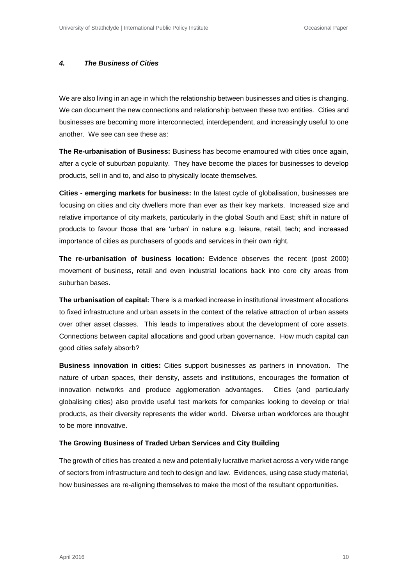#### *4. The Business of Cities*

We are also living in an age in which the relationship between businesses and cities is changing. We can document the new connections and relationship between these two entities. Cities and businesses are becoming more interconnected, interdependent, and increasingly useful to one another. We see can see these as:

**The Re-urbanisation of Business:** Business has become enamoured with cities once again, after a cycle of suburban popularity. They have become the places for businesses to develop products, sell in and to, and also to physically locate themselves.

**Cities - emerging markets for business:** In the latest cycle of globalisation, businesses are focusing on cities and city dwellers more than ever as their key markets. Increased size and relative importance of city markets, particularly in the global South and East; shift in nature of products to favour those that are 'urban' in nature e.g. leisure, retail, tech; and increased importance of cities as purchasers of goods and services in their own right.

**The re-urbanisation of business location:** Evidence observes the recent (post 2000) movement of business, retail and even industrial locations back into core city areas from suburban bases.

**The urbanisation of capital:** There is a marked increase in institutional investment allocations to fixed infrastructure and urban assets in the context of the relative attraction of urban assets over other asset classes. This leads to imperatives about the development of core assets. Connections between capital allocations and good urban governance. How much capital can good cities safely absorb?

**Business innovation in cities:** Cities support businesses as partners in innovation. The nature of urban spaces, their density, assets and institutions, encourages the formation of innovation networks and produce agglomeration advantages. Cities (and particularly globalising cities) also provide useful test markets for companies looking to develop or trial products, as their diversity represents the wider world. Diverse urban workforces are thought to be more innovative.

#### **The Growing Business of Traded Urban Services and City Building**

The growth of cities has created a new and potentially lucrative market across a very wide range of sectors from infrastructure and tech to design and law. Evidences, using case study material, how businesses are re-aligning themselves to make the most of the resultant opportunities.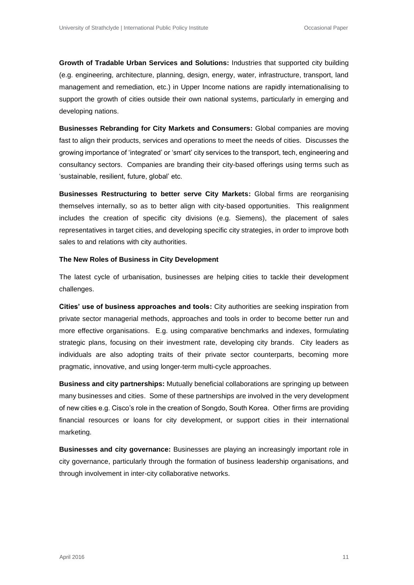**Growth of Tradable Urban Services and Solutions:** Industries that supported city building (e.g. engineering, architecture, planning, design, energy, water, infrastructure, transport, land management and remediation, etc.) in Upper Income nations are rapidly internationalising to support the growth of cities outside their own national systems, particularly in emerging and developing nations.

**Businesses Rebranding for City Markets and Consumers:** Global companies are moving fast to align their products, services and operations to meet the needs of cities. Discusses the growing importance of 'integrated' or 'smart' city services to the transport, tech, engineering and consultancy sectors. Companies are branding their city-based offerings using terms such as 'sustainable, resilient, future, global' etc.

**Businesses Restructuring to better serve City Markets:** Global firms are reorganising themselves internally, so as to better align with city-based opportunities. This realignment includes the creation of specific city divisions (e.g. Siemens), the placement of sales representatives in target cities, and developing specific city strategies, in order to improve both sales to and relations with city authorities.

#### **The New Roles of Business in City Development**

The latest cycle of urbanisation, businesses are helping cities to tackle their development challenges.

**Cities' use of business approaches and tools:** City authorities are seeking inspiration from private sector managerial methods, approaches and tools in order to become better run and more effective organisations. E.g. using comparative benchmarks and indexes, formulating strategic plans, focusing on their investment rate, developing city brands. City leaders as individuals are also adopting traits of their private sector counterparts, becoming more pragmatic, innovative, and using longer-term multi-cycle approaches.

**Business and city partnerships:** Mutually beneficial collaborations are springing up between many businesses and cities. Some of these partnerships are involved in the very development of new cities e.g. Cisco's role in the creation of Songdo, South Korea. Other firms are providing financial resources or loans for city development, or support cities in their international marketing.

**Businesses and city governance:** Businesses are playing an increasingly important role in city governance, particularly through the formation of business leadership organisations, and through involvement in inter-city collaborative networks.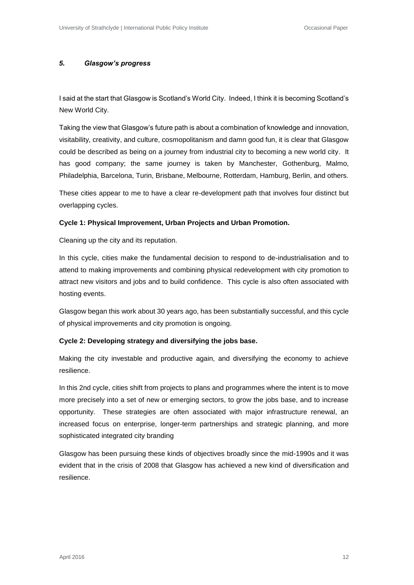#### *5. Glasgow's progress*

I said at the start that Glasgow is Scotland's World City. Indeed, I think it is becoming Scotland's New World City.

Taking the view that Glasgow's future path is about a combination of knowledge and innovation, visitability, creativity, and culture, cosmopolitanism and damn good fun, it is clear that Glasgow could be described as being on a journey from industrial city to becoming a new world city. It has good company; the same journey is taken by Manchester, Gothenburg, Malmo, Philadelphia, Barcelona, Turin, Brisbane, Melbourne, Rotterdam, Hamburg, Berlin, and others.

These cities appear to me to have a clear re-development path that involves four distinct but overlapping cycles.

#### **Cycle 1: Physical Improvement, Urban Projects and Urban Promotion.**

Cleaning up the city and its reputation.

In this cycle, cities make the fundamental decision to respond to de-industrialisation and to attend to making improvements and combining physical redevelopment with city promotion to attract new visitors and jobs and to build confidence. This cycle is also often associated with hosting events.

Glasgow began this work about 30 years ago, has been substantially successful, and this cycle of physical improvements and city promotion is ongoing.

#### **Cycle 2: Developing strategy and diversifying the jobs base.**

Making the city investable and productive again, and diversifying the economy to achieve resilience.

In this 2nd cycle, cities shift from projects to plans and programmes where the intent is to move more precisely into a set of new or emerging sectors, to grow the jobs base, and to increase opportunity. These strategies are often associated with major infrastructure renewal, an increased focus on enterprise, longer-term partnerships and strategic planning, and more sophisticated integrated city branding

Glasgow has been pursuing these kinds of objectives broadly since the mid-1990s and it was evident that in the crisis of 2008 that Glasgow has achieved a new kind of diversification and resilience.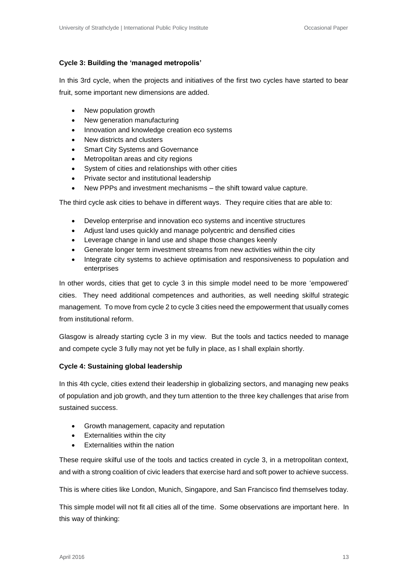# **Cycle 3: Building the 'managed metropolis'**

In this 3rd cycle, when the projects and initiatives of the first two cycles have started to bear fruit, some important new dimensions are added.

- New population growth
- New generation manufacturing
- Innovation and knowledge creation eco systems
- New districts and clusters
- Smart City Systems and Governance
- Metropolitan areas and city regions
- System of cities and relationships with other cities
- Private sector and institutional leadership
- New PPPs and investment mechanisms the shift toward value capture.

The third cycle ask cities to behave in different ways. They require cities that are able to:

- Develop enterprise and innovation eco systems and incentive structures
- Adjust land uses quickly and manage polycentric and densified cities
- Leverage change in land use and shape those changes keenly
- Generate longer term investment streams from new activities within the city
- Integrate city systems to achieve optimisation and responsiveness to population and enterprises

In other words, cities that get to cycle 3 in this simple model need to be more 'empowered' cities. They need additional competences and authorities, as well needing skilful strategic management. To move from cycle 2 to cycle 3 cities need the empowerment that usually comes from institutional reform.

Glasgow is already starting cycle 3 in my view. But the tools and tactics needed to manage and compete cycle 3 fully may not yet be fully in place, as I shall explain shortly.

### **Cycle 4: Sustaining global leadership**

In this 4th cycle, cities extend their leadership in globalizing sectors, and managing new peaks of population and job growth, and they turn attention to the three key challenges that arise from sustained success.

- Growth management, capacity and reputation
- Externalities within the city
- Externalities within the nation

These require skilful use of the tools and tactics created in cycle 3, in a metropolitan context, and with a strong coalition of civic leaders that exercise hard and soft power to achieve success.

This is where cities like London, Munich, Singapore, and San Francisco find themselves today.

This simple model will not fit all cities all of the time. Some observations are important here. In this way of thinking: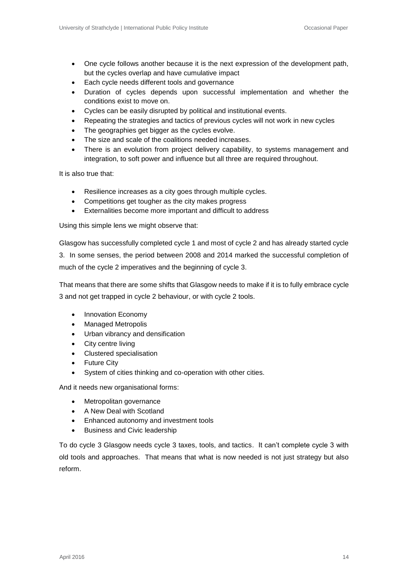- One cycle follows another because it is the next expression of the development path, but the cycles overlap and have cumulative impact
- Each cycle needs different tools and governance
- Duration of cycles depends upon successful implementation and whether the conditions exist to move on.
- Cycles can be easily disrupted by political and institutional events.
- Repeating the strategies and tactics of previous cycles will not work in new cycles
- The geographies get bigger as the cycles evolve.
- The size and scale of the coalitions needed increases.
- There is an evolution from project delivery capability, to systems management and integration, to soft power and influence but all three are required throughout.

It is also true that:

- Resilience increases as a city goes through multiple cycles.
- Competitions get tougher as the city makes progress
- Externalities become more important and difficult to address

Using this simple lens we might observe that:

Glasgow has successfully completed cycle 1 and most of cycle 2 and has already started cycle 3. In some senses, the period between 2008 and 2014 marked the successful completion of

much of the cycle 2 imperatives and the beginning of cycle 3.

That means that there are some shifts that Glasgow needs to make if it is to fully embrace cycle 3 and not get trapped in cycle 2 behaviour, or with cycle 2 tools.

- Innovation Economy
- Managed Metropolis
- Urban vibrancy and densification
- City centre living
- Clustered specialisation
- Future City
- System of cities thinking and co-operation with other cities.

And it needs new organisational forms:

- Metropolitan governance
- A New Deal with Scotland
- Enhanced autonomy and investment tools
- Business and Civic leadership

To do cycle 3 Glasgow needs cycle 3 taxes, tools, and tactics. It can't complete cycle 3 with old tools and approaches. That means that what is now needed is not just strategy but also reform.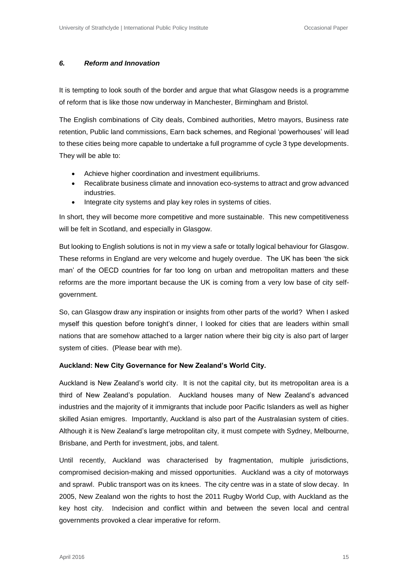#### *6. Reform and Innovation*

It is tempting to look south of the border and argue that what Glasgow needs is a programme of reform that is like those now underway in Manchester, Birmingham and Bristol.

The English combinations of City deals, Combined authorities, Metro mayors, Business rate retention, Public land commissions, Earn back schemes, and Regional 'powerhouses' will lead to these cities being more capable to undertake a full programme of cycle 3 type developments. They will be able to:

- Achieve higher coordination and investment equilibriums.
- Recalibrate business climate and innovation eco-systems to attract and grow advanced industries.
- Integrate city systems and play key roles in systems of cities.

In short, they will become more competitive and more sustainable. This new competitiveness will be felt in Scotland, and especially in Glasgow.

But looking to English solutions is not in my view a safe or totally logical behaviour for Glasgow. These reforms in England are very welcome and hugely overdue. The UK has been 'the sick man' of the OECD countries for far too long on urban and metropolitan matters and these reforms are the more important because the UK is coming from a very low base of city selfgovernment.

So, can Glasgow draw any inspiration or insights from other parts of the world? When I asked myself this question before tonight's dinner, I looked for cities that are leaders within small nations that are somehow attached to a larger nation where their big city is also part of larger system of cities. (Please bear with me).

#### **Auckland: New City Governance for New Zealand's World City.**

Auckland is New Zealand's world city. It is not the capital city, but its metropolitan area is a third of New Zealand's population. Auckland houses many of New Zealand's advanced industries and the majority of it immigrants that include poor Pacific Islanders as well as higher skilled Asian emigres. Importantly, Auckland is also part of the Australasian system of cities. Although it is New Zealand's large metropolitan city, it must compete with Sydney, Melbourne, Brisbane, and Perth for investment, jobs, and talent.

Until recently, Auckland was characterised by fragmentation, multiple jurisdictions, compromised decision-making and missed opportunities. Auckland was a city of motorways and sprawl. Public transport was on its knees. The city centre was in a state of slow decay. In 2005, New Zealand won the rights to host the 2011 Rugby World Cup, with Auckland as the key host city. Indecision and conflict within and between the seven local and central governments provoked a clear imperative for reform.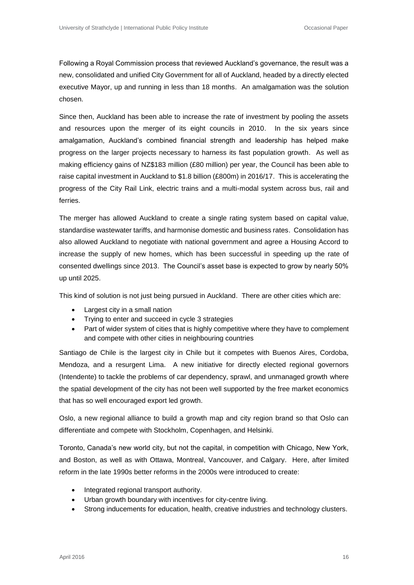Following a Royal Commission process that reviewed Auckland's governance, the result was a new, consolidated and unified City Government for all of Auckland, headed by a directly elected executive Mayor, up and running in less than 18 months. An amalgamation was the solution chosen.

Since then, Auckland has been able to increase the rate of investment by pooling the assets and resources upon the merger of its eight councils in 2010. In the six years since amalgamation, Auckland's combined financial strength and leadership has helped make progress on the larger projects necessary to harness its fast population growth. As well as making efficiency gains of NZ\$183 million (£80 million) per year, the Council has been able to raise capital investment in Auckland to \$1.8 billion (£800m) in 2016/17. This is accelerating the progress of the City Rail Link, electric trains and a multi-modal system across bus, rail and ferries.

The merger has allowed Auckland to create a single rating system based on capital value, standardise wastewater tariffs, and harmonise domestic and business rates. Consolidation has also allowed Auckland to negotiate with national government and agree a Housing Accord to increase the supply of new homes, which has been successful in speeding up the rate of consented dwellings since 2013. The Council's asset base is expected to grow by nearly 50% up until 2025.

This kind of solution is not just being pursued in Auckland. There are other cities which are:

- Largest city in a small nation
- Trying to enter and succeed in cycle 3 strategies
- Part of wider system of cities that is highly competitive where they have to complement and compete with other cities in neighbouring countries

Santiago de Chile is the largest city in Chile but it competes with Buenos Aires, Cordoba, Mendoza, and a resurgent Lima. A new initiative for directly elected regional governors (Intendente) to tackle the problems of car dependency, sprawl, and unmanaged growth where the spatial development of the city has not been well supported by the free market economics that has so well encouraged export led growth.

Oslo, a new regional alliance to build a growth map and city region brand so that Oslo can differentiate and compete with Stockholm, Copenhagen, and Helsinki.

Toronto, Canada's new world city, but not the capital, in competition with Chicago, New York, and Boston, as well as with Ottawa, Montreal, Vancouver, and Calgary. Here, after limited reform in the late 1990s better reforms in the 2000s were introduced to create:

- Integrated regional transport authority.
- Urban growth boundary with incentives for city-centre living.
- Strong inducements for education, health, creative industries and technology clusters.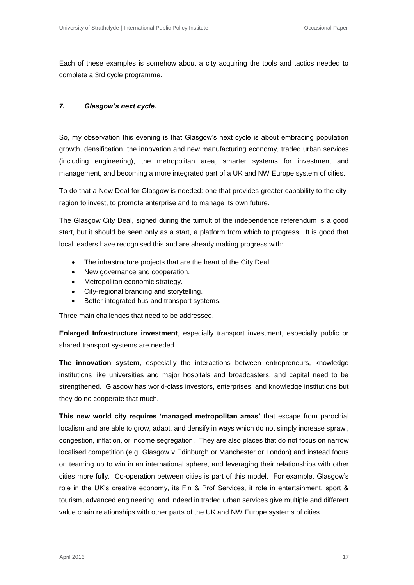Each of these examples is somehow about a city acquiring the tools and tactics needed to complete a 3rd cycle programme.

#### *7. Glasgow's next cycle.*

So, my observation this evening is that Glasgow's next cycle is about embracing population growth, densification, the innovation and new manufacturing economy, traded urban services (including engineering), the metropolitan area, smarter systems for investment and management, and becoming a more integrated part of a UK and NW Europe system of cities.

To do that a New Deal for Glasgow is needed: one that provides greater capability to the cityregion to invest, to promote enterprise and to manage its own future.

The Glasgow City Deal, signed during the tumult of the independence referendum is a good start, but it should be seen only as a start, a platform from which to progress. It is good that local leaders have recognised this and are already making progress with:

- The infrastructure projects that are the heart of the City Deal.
- New governance and cooperation.
- Metropolitan economic strategy.
- City-regional branding and storytelling.
- Better integrated bus and transport systems.

Three main challenges that need to be addressed.

**Enlarged Infrastructure investment**, especially transport investment, especially public or shared transport systems are needed.

**The innovation system**, especially the interactions between entrepreneurs, knowledge institutions like universities and major hospitals and broadcasters, and capital need to be strengthened. Glasgow has world-class investors, enterprises, and knowledge institutions but they do no cooperate that much.

**This new world city requires 'managed metropolitan areas'** that escape from parochial localism and are able to grow, adapt, and densify in ways which do not simply increase sprawl, congestion, inflation, or income segregation. They are also places that do not focus on narrow localised competition (e.g. Glasgow v Edinburgh or Manchester or London) and instead focus on teaming up to win in an international sphere, and leveraging their relationships with other cities more fully. Co-operation between cities is part of this model. For example, Glasgow's role in the UK's creative economy, its Fin & Prof Services, it role in entertainment, sport & tourism, advanced engineering, and indeed in traded urban services give multiple and different value chain relationships with other parts of the UK and NW Europe systems of cities.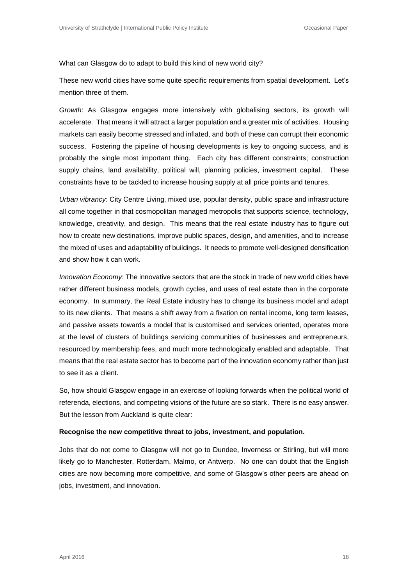What can Glasgow do to adapt to build this kind of new world city?

These new world cities have some quite specific requirements from spatial development. Let's mention three of them.

*Growth*: As Glasgow engages more intensively with globalising sectors, its growth will accelerate. That means it will attract a larger population and a greater mix of activities. Housing markets can easily become stressed and inflated, and both of these can corrupt their economic success. Fostering the pipeline of housing developments is key to ongoing success, and is probably the single most important thing. Each city has different constraints; construction supply chains, land availability, political will, planning policies, investment capital. These constraints have to be tackled to increase housing supply at all price points and tenures.

*Urban vibrancy*: City Centre Living, mixed use, popular density, public space and infrastructure all come together in that cosmopolitan managed metropolis that supports science, technology, knowledge, creativity, and design. This means that the real estate industry has to figure out how to create new destinations, improve public spaces, design, and amenities, and to increase the mixed of uses and adaptability of buildings. It needs to promote well-designed densification and show how it can work.

*Innovation Economy*: The innovative sectors that are the stock in trade of new world cities have rather different business models, growth cycles, and uses of real estate than in the corporate economy. In summary, the Real Estate industry has to change its business model and adapt to its new clients. That means a shift away from a fixation on rental income, long term leases, and passive assets towards a model that is customised and services oriented, operates more at the level of clusters of buildings servicing communities of businesses and entrepreneurs, resourced by membership fees, and much more technologically enabled and adaptable. That means that the real estate sector has to become part of the innovation economy rather than just to see it as a client.

So, how should Glasgow engage in an exercise of looking forwards when the political world of referenda, elections, and competing visions of the future are so stark. There is no easy answer. But the lesson from Auckland is quite clear:

#### **Recognise the new competitive threat to jobs, investment, and population.**

Jobs that do not come to Glasgow will not go to Dundee, Inverness or Stirling, but will more likely go to Manchester, Rotterdam, Malmo, or Antwerp. No one can doubt that the English cities are now becoming more competitive, and some of Glasgow's other peers are ahead on jobs, investment, and innovation.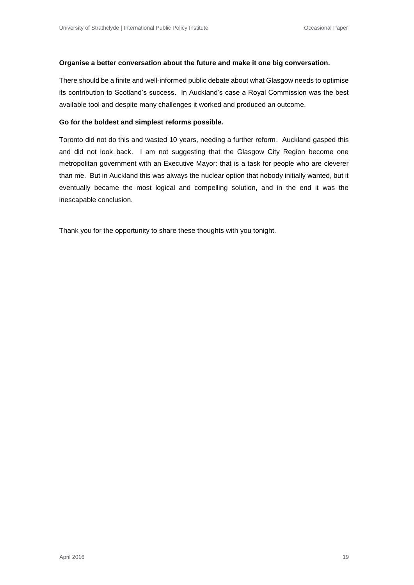#### **Organise a better conversation about the future and make it one big conversation.**

There should be a finite and well-informed public debate about what Glasgow needs to optimise its contribution to Scotland's success. In Auckland's case a Royal Commission was the best available tool and despite many challenges it worked and produced an outcome.

#### **Go for the boldest and simplest reforms possible.**

Toronto did not do this and wasted 10 years, needing a further reform. Auckland gasped this and did not look back. I am not suggesting that the Glasgow City Region become one metropolitan government with an Executive Mayor: that is a task for people who are cleverer than me. But in Auckland this was always the nuclear option that nobody initially wanted, but it eventually became the most logical and compelling solution, and in the end it was the inescapable conclusion.

Thank you for the opportunity to share these thoughts with you tonight.